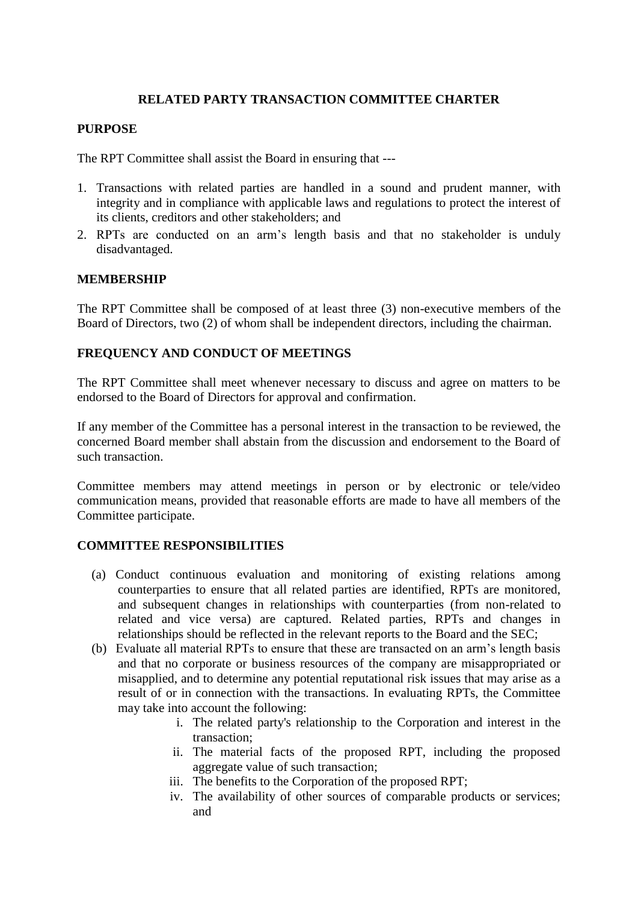## **RELATED PARTY TRANSACTION COMMITTEE CHARTER**

## **PURPOSE**

The RPT Committee shall assist the Board in ensuring that ---

- 1. Transactions with related parties are handled in a sound and prudent manner, with integrity and in compliance with applicable laws and regulations to protect the interest of its clients, creditors and other stakeholders; and
- 2. RPTs are conducted on an arm's length basis and that no stakeholder is unduly disadvantaged.

### **MEMBERSHIP**

The RPT Committee shall be composed of at least three (3) non-executive members of the Board of Directors, two (2) of whom shall be independent directors, including the chairman.

# **FREQUENCY AND CONDUCT OF MEETINGS**

The RPT Committee shall meet whenever necessary to discuss and agree on matters to be endorsed to the Board of Directors for approval and confirmation.

If any member of the Committee has a personal interest in the transaction to be reviewed, the concerned Board member shall abstain from the discussion and endorsement to the Board of such transaction.

Committee members may attend meetings in person or by electronic or tele/video communication means, provided that reasonable efforts are made to have all members of the Committee participate.

### **COMMITTEE RESPONSIBILITIES**

- (a) Conduct continuous evaluation and monitoring of existing relations among counterparties to ensure that all related parties are identified, RPTs are monitored, and subsequent changes in relationships with counterparties (from non-related to related and vice versa) are captured. Related parties, RPTs and changes in relationships should be reflected in the relevant reports to the Board and the SEC;
- (b) Evaluate all material RPTs to ensure that these are transacted on an arm's length basis and that no corporate or business resources of the company are misappropriated or misapplied, and to determine any potential reputational risk issues that may arise as a result of or in connection with the transactions. In evaluating RPTs, the Committee may take into account the following:
	- i. The related party's relationship to the Corporation and interest in the transaction;
	- ii. The material facts of the proposed RPT, including the proposed aggregate value of such transaction;
	- iii. The benefits to the Corporation of the proposed RPT;
	- iv. The availability of other sources of comparable products or services; and